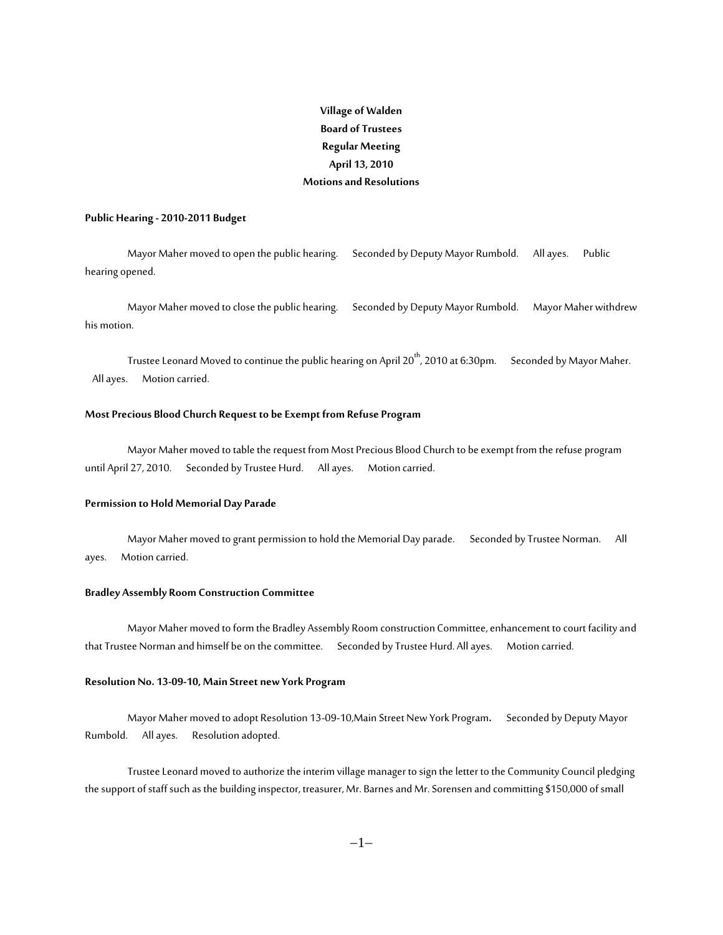# **Village of Walden Board of Trustees Regular Meeting April 13, 2010 Motions and Resolutions**

#### **Public Hearing - 2010-2011 Budget**

Mayor Maher moved to open the public hearing. Seconded by Deputy Mayor Rumbold. All ayes. Public hearing opened.

Mayor Maher moved to close the public hearing. Seconded by Deputy Mayor Rumbold. Mayor Maher withdrew his motion.

Trustee Leonard Moved to continue the public hearing on April 20<sup>th</sup>, 2010 at 6:30pm. Seconded by Mayor Maher. All ayes. Motion carried.

## **Most Precious Blood Church Request to be Exempt from Refuse Program**

Mayor Maher moved to table the request from Most Precious Blood Church to be exempt from the refuse program until April 27, 2010. Seconded by Trustee Hurd. All ayes. Motion carried.

#### **Permission to Hold Memorial Day Parade**

Mayor Maher moved to grant permission to hold the Memorial Day parade.Seconded by Trustee Norman. All ayes. Motion carried.

#### **Bradley Assembly Room Construction Committee**

Mayor Maher moved to form the Bradley Assembly Room construction Committee, enhancement to court facility and that Trustee Norman and himself be on the committee. Seconded by Trustee Hurd. All ayes. Motion carried.

#### **Resolution No. 13-09-10, Main Street new York Program**

Mayor Maher moved to adopt Resolution 13-09-10,Main Street New York Program**.** Seconded by Deputy Mayor Rumbold. All ayes. Resolution adopted.

Trustee Leonard moved to authorize the interim village manager to sign the letter to the Community Council pledging the support of staff such as the building inspector, treasurer, Mr. Barnes and Mr. Sorensen and committing \$150,000 of small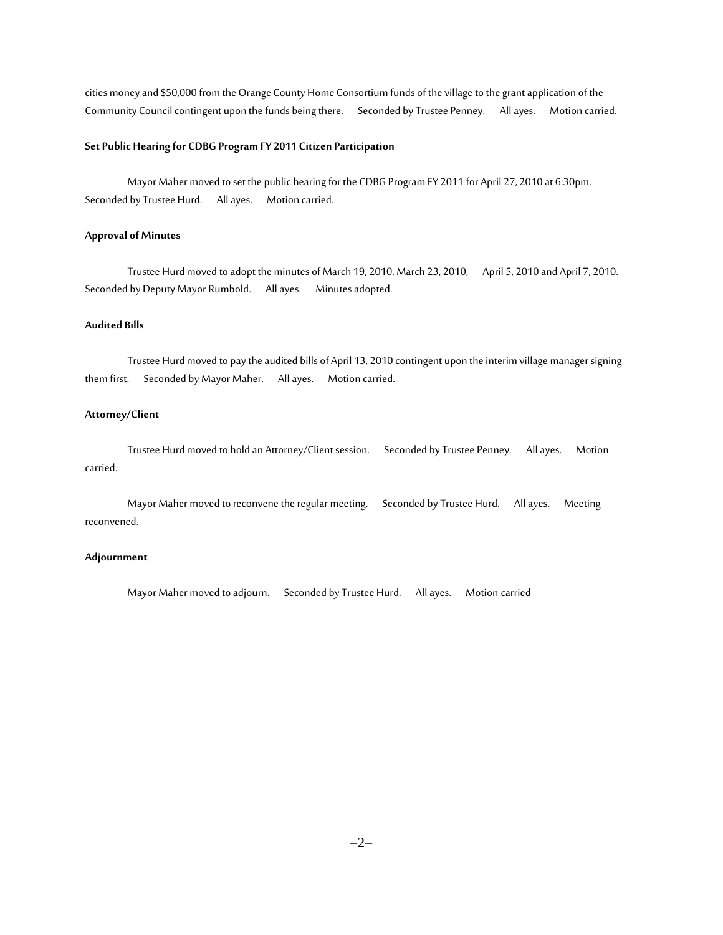cities money and \$50,000 from the Orange County Home Consortium funds of the village to the grant application of the Community Council contingent upon the funds being there. Seconded by Trustee Penney. All ayes. Motion carried.

# **Set Public Hearing for CDBG Program FY 2011 Citizen Participation**

Mayor Maher moved to set the public hearing for the CDBG Program FY 2011 for April 27, 2010 at 6:30pm. Seconded by Trustee Hurd. All ayes. Motion carried.

# **Approval of Minutes**

Trustee Hurd moved to adopt the minutes of March 19, 2010, March 23, 2010, April 5, 2010 and April 7, 2010. Seconded by Deputy Mayor Rumbold. All ayes. Minutes adopted.

# **Audited Bills**

Trustee Hurd moved to pay the audited bills of April 13, 2010 contingent upon the interim village manager signing them first. Seconded by Mayor Maher. All ayes. Motion carried.

## **Attorney/Client**

Trustee Hurd moved to hold an Attorney/Client session. Seconded by Trustee Penney. All ayes. Motion carried.

Mayor Maher moved to reconvene the regular meeting. Seconded by Trustee Hurd. All ayes. Meeting reconvened.

# **Adjournment**

Mayor Maher moved to adjourn. Seconded by Trustee Hurd. All ayes. Motion carried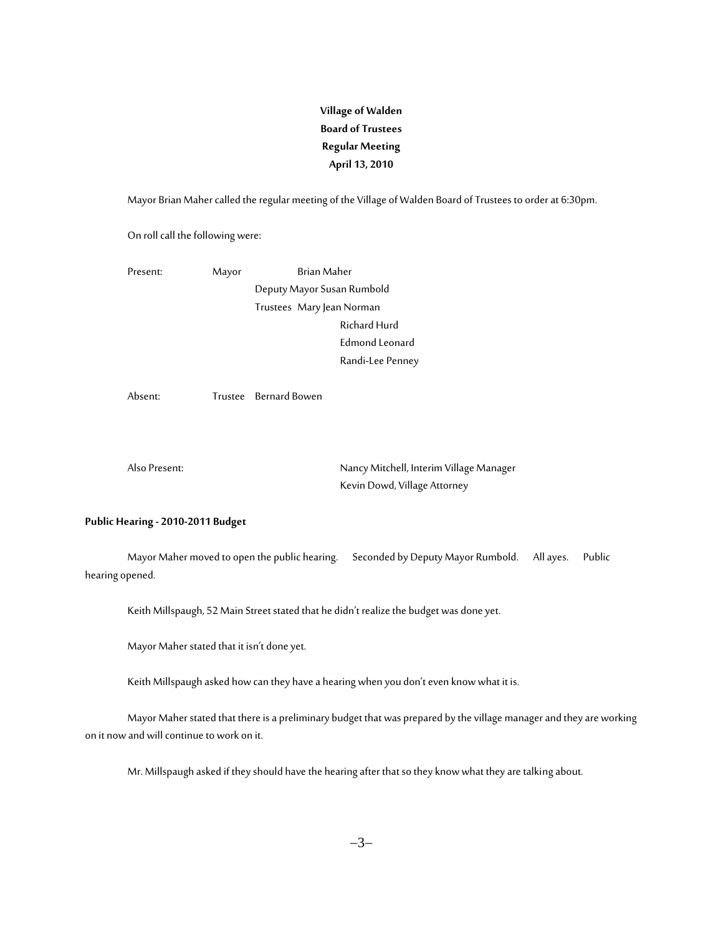# **Village of Walden Board of Trustees Regular Meeting April 13, 2010**

Mayor Brian Maher called the regular meeting of the Village of Walden Board of Trustees to order at 6:30pm.

On roll call the following were:

Present: Mayor Brian Maher Deputy Mayor Susan Rumbold Trustees Mary Jean Norman Richard Hurd Edmond Leonard Randi-Lee Penney

Absent: Trustee Bernard Bowen

Also Present: Nancy Mitchell, Interim Village Manager Kevin Dowd, Village Attorney

# **Public Hearing - 2010-2011 Budget**

Mayor Maher moved to open the public hearing. Seconded by Deputy Mayor Rumbold. All ayes. Public hearing opened.

Keith Millspaugh, 52 Main Street stated that he didn't realize the budget was done yet.

Mayor Maher stated that it isn't done yet.

Keith Millspaugh asked how can they have a hearing when you don't even know what it is.

Mayor Maher stated that there is a preliminary budget that was prepared by the village manager and they are working on it now and will continue to work on it.

Mr. Millspaugh asked if they should have the hearing after that so they know what they are talking about.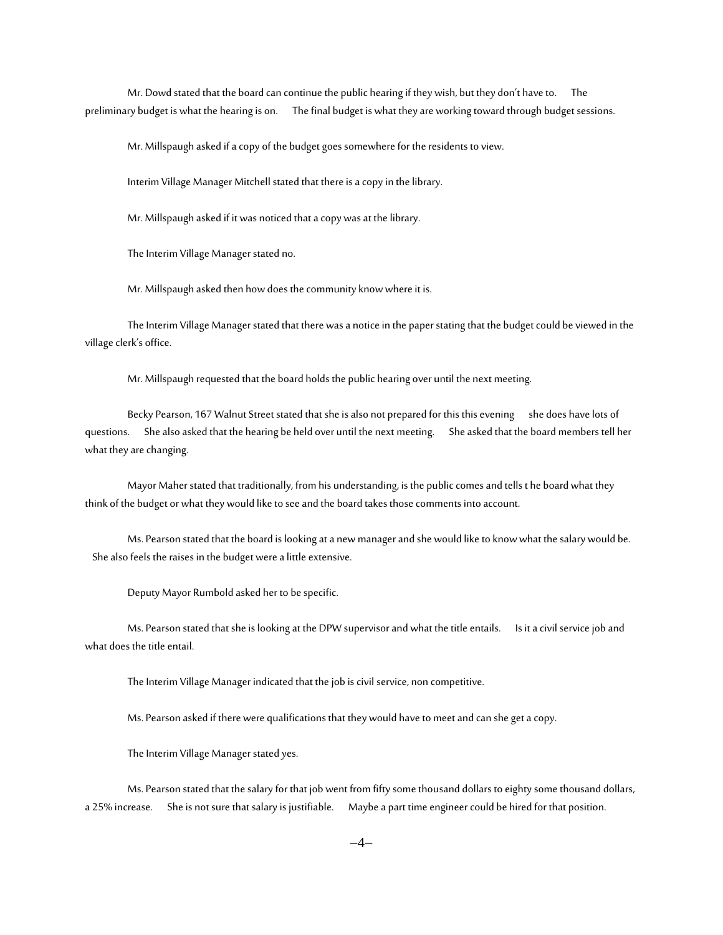Mr. Dowd stated that the board can continue the public hearing if they wish, but they don't have to. The preliminary budget is what the hearing is on. The final budget is what they are working toward through budget sessions.

Mr.Millspaugh asked if a copy of the budget goes somewhere for the residents to view.

Interim Village Manager Mitchell stated that there is a copy in the library.

Mr. Millspaugh asked if it was noticed that a copy was at the library.

The Interim Village Manager stated no.

Mr. Millspaugh asked then how does the community know where it is.

The Interim Village Manager stated that there was a notice in the paper stating that the budget could be viewed in the village clerk's office.

Mr. Millspaugh requested that the board holds the public hearing over until the next meeting.

Becky Pearson, 167 Walnut Street stated that she is also not prepared for this this evening she does have lots of questions. She also asked that the hearing be held over until the next meeting. She asked that the board members tell her what they are changing.

Mayor Maher stated that traditionally, from his understanding, is the public comes and tells t he board what they think of the budget or what they would like to see and the board takes those comments into account.

Ms. Pearson stated that the board is looking at a new manager and she would like to know what the salary would be. She also feels the raises in the budget were a little extensive.

Deputy Mayor Rumbold asked her to be specific.

Ms. Pearson stated that she is looking at the DPW supervisor and what the title entails. Is it a civil service job and what does the title entail.

The Interim Village Manager indicated that the job is civil service, non competitive.

Ms. Pearson asked if there were qualifications that they would have to meet and can she get a copy.

The Interim Village Manager stated yes.

Ms. Pearson stated that the salary for that job went from fifty some thousand dollars to eighty some thousand dollars, a 25% increase. She is not sure that salary is justifiable. Maybe a part time engineer could be hired for that position.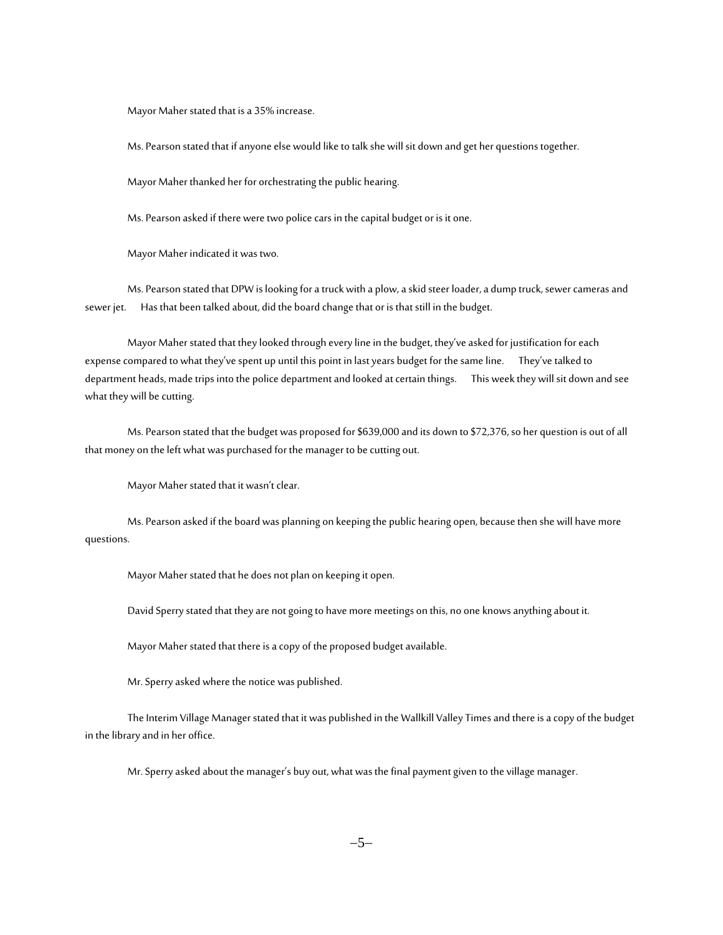Mayor Maher stated that is a 35% increase.

Ms. Pearson stated that if anyone else would like to talk she will sit down and get her questions together.

Mayor Maher thanked her for orchestrating the public hearing.

Ms. Pearson asked if there were two police cars in the capital budget or is it one.

Mayor Maher indicated it was two.

Ms. Pearson stated that DPW is looking for a truck with a plow, a skid steer loader, a dump truck, sewer cameras and sewer jet. Has that been talked about, did the board change that or is that still in the budget.

Mayor Maher stated that they looked through every line in the budget, they've asked for justification for each expense compared to what they've spent up until this point in last years budget for the same line. They've talked to department heads, made trips into the police department and looked at certain things. This week they will sit down and see what they will be cutting.

Ms. Pearson stated that the budget was proposed for \$639,000 and its down to \$72,376, so her question is out of all that money on the left what was purchased for the manager to be cutting out.

Mayor Maher stated that it wasn't clear.

Ms. Pearson asked if the board was planning on keeping the public hearing open, because then she will have more questions.

Mayor Maher stated that he does not plan on keeping it open.

David Sperry stated that they are not going to have more meetings on this, no one knows anything about it.

Mayor Maher stated that there is a copy of the proposed budget available.

Mr. Sperry asked where the notice was published.

The Interim Village Manager stated that it was published in the Wallkill Valley Times and there is a copy of the budget in the library and in her office.

Mr. Sperry asked about the manager's buy out, what was the final payment given to the village manager.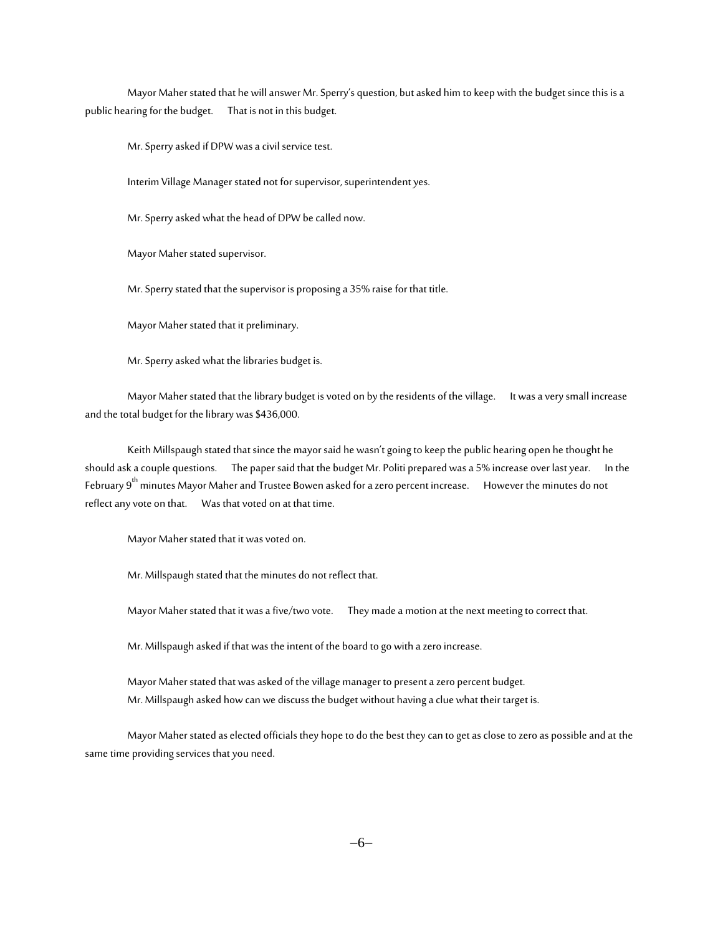Mayor Maher stated that he will answer Mr. Sperry's question, but asked him to keep with the budget since this is a public hearing for the budget. That is not in this budget.

Mr. Sperry asked if DPW was a civil service test.

Interim Village Manager stated not for supervisor, superintendent yes.

Mr. Sperry asked what the head of DPW be called now.

Mayor Maher stated supervisor.

Mr. Sperry stated that the supervisor is proposing a 35% raise for that title.

Mayor Maher stated that it preliminary.

Mr. Sperry asked what the libraries budget is.

Mayor Maher stated that the library budget is voted on by the residents of the village. It was a very small increase and the total budget for the library was \$436,000.

Keith Millspaugh stated that since the mayor said he wasn't going to keep the public hearing open he thought he should ask a couple questions. The paper said that the budget Mr. Politi prepared was a 5% increase over last year. In the February 9<sup>th</sup> minutes Mayor Maher and Trustee Bowen asked for a zero percent increase. However the minutes do not reflect any vote on that. Was that voted on at that time.

Mayor Maher stated that it was voted on.

Mr. Millspaugh stated that the minutes do not reflect that.

Mayor Maher stated that it was a five/two vote. They made a motion at the next meeting to correct that.

Mr. Millspaugh asked if that was the intent of the board to go with a zero increase.

Mayor Maher stated that was asked of the village manager to present a zero percent budget. Mr. Millspaugh asked how can we discuss the budget without having a clue what their target is.

Mayor Maher stated as elected officials they hope to do the best they can to get as close to zero as possible and at the same time providing services that you need.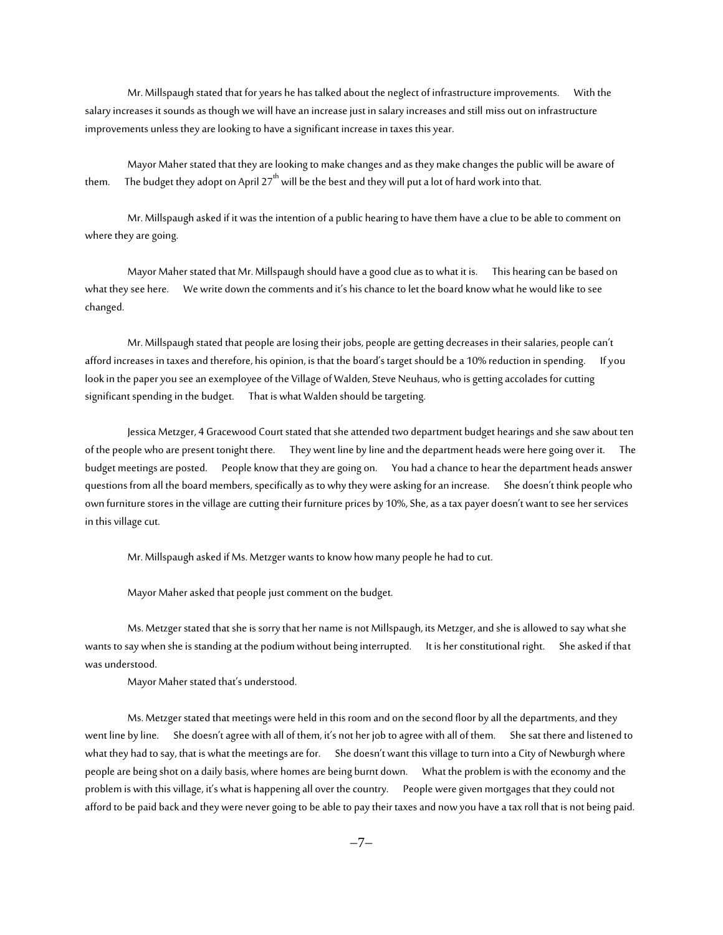Mr. Millspaugh stated that for years he has talked about the neglect of infrastructure improvements. With the salary increases it sounds as though we will have an increase just in salary increases and still miss out on infrastructure improvements unless they are looking to have a significant increase in taxes this year.

Mayor Maher stated that they are looking to make changes and as they make changes the public will be aware of them. The budget they adopt on April  $27<sup>th</sup>$  will be the best and they will put a lot of hard work into that.

Mr. Millspaugh asked if it was the intention of a public hearing to have them have a clue to be able to comment on where they are going.

Mayor Maher stated that Mr. Millspaugh should have a good clue as to what it is. This hearing can be based on what they see here. We write down the comments and it's his chance to let the board know what he would like to see changed.

Mr. Millspaugh stated that people are losing their jobs, people are getting decreases in their salaries, people can't afford increases in taxes and therefore, his opinion, is that the board's target should be a 10% reduction in spending. If you look in the paper you see an exemployee of the Village of Walden, Steve Neuhaus, who is getting accolades for cutting significant spending in the budget. That is what Walden should be targeting.

Jessica Metzger, 4 Gracewood Court stated that she attended two department budget hearings and she saw about ten of the people who are present tonight there. They went line by line and the department heads were here going over it. The budget meetings are posted. People know that they are going on. You had a chance to hear the department heads answer questions from all the board members, specifically as to why they were asking for an increase. She doesn't think people who own furniture stores in the village are cutting their furniture prices by 10%, She, as a tax payer doesn't want to see her services in this village cut.

Mr. Millspaugh asked if Ms. Metzger wants to know how many people he had to cut.

Mayor Maher asked that people just comment on the budget.

Ms. Metzger stated that she is sorry that her name is not Millspaugh, its Metzger, and she is allowed to say what she wants to say when she is standing at the podium without being interrupted. It is her constitutional right. She asked if that was understood.

Mayor Maher stated that's understood.

Ms.Metzger stated that meetings were held in this room and on the second floor by all the departments, and they went line by line. She doesn't agree with all of them, it's not her job to agree with all of them. She sat there and listened to what they had to say, that is what the meetings are for. She doesn't want this village to turn into a City of Newburgh where people are being shot on a daily basis, where homes are being burnt down. What the problem is with the economy and the problem is with this village, it's what is happening all over the country. People were given mortgages that they could not afford to be paid back and they were never going to be able to pay their taxes and now you have a tax roll that is not being paid.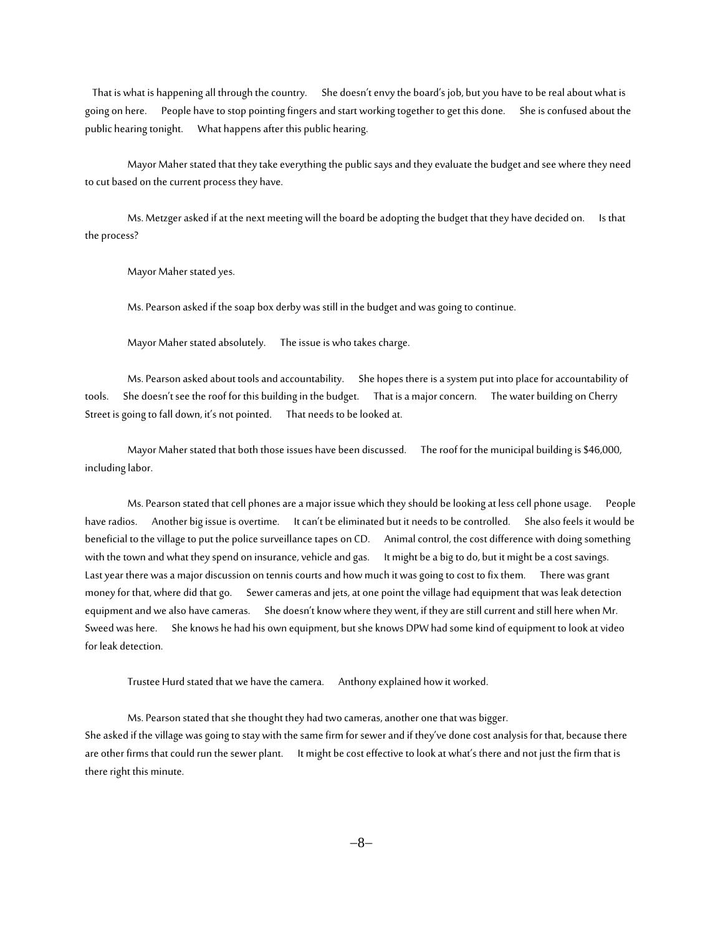That is what is happening all through the country. She doesn't envy the board's job, but you have to be real about what is going on here. People have to stop pointing fingers and start working together to get this done. She is confused about the public hearing tonight. What happens after this public hearing.

Mayor Maher stated that they take everything the public says and they evaluate the budget and see where they need to cut based on the current process they have.

Ms. Metzger asked if at the next meeting will the board be adopting the budget that they have decided on. Is that the process?

Mayor Maher stated yes.

Ms. Pearson asked if the soap box derby was still in the budget and was going to continue.

Mayor Maher stated absolutely. The issue is who takes charge.

Ms. Pearson asked about tools and accountability. She hopes there is a system put into place for accountability of tools. She doesn't see the roof for this building in the budget. That is a major concern. The water building on Cherry Street is going to fall down, it's not pointed. That needs to be looked at.

Mayor Maher stated that both those issues have been discussed. The roof for the municipal building is \$46,000, including labor.

Ms. Pearson stated that cell phones are a major issue which they should be looking at less cell phone usage. People have radios. Another big issue is overtime. It can't be eliminated but it needs to be controlled. She also feels it would be beneficial to the village to put the police surveillance tapes on CD. Animal control, the cost difference with doing something with the town and what they spend on insurance, vehicle and gas. It might be a big to do, but it might be a cost savings. Last year there was a major discussion on tennis courts and how much it was going to cost to fix them. There was grant money for that, where did that go. Sewer cameras and jets, at one point the village had equipment that was leak detection equipment and we also have cameras. She doesn't know where they went, if they are still current and still here when Mr. Sweed was here. She knows he had his own equipment, but she knows DPW had some kind of equipment to look at video for leak detection.

Trustee Hurd stated that we have the camera. Anthony explained how it worked.

Ms. Pearson stated that she thought they had two cameras, another one that was bigger. She asked if the village was going to stay with the same firm for sewer and if they've done cost analysis for that, because there are other firms that could run the sewer plant. It might be cost effective to look at what's there and not just the firm that is there right this minute.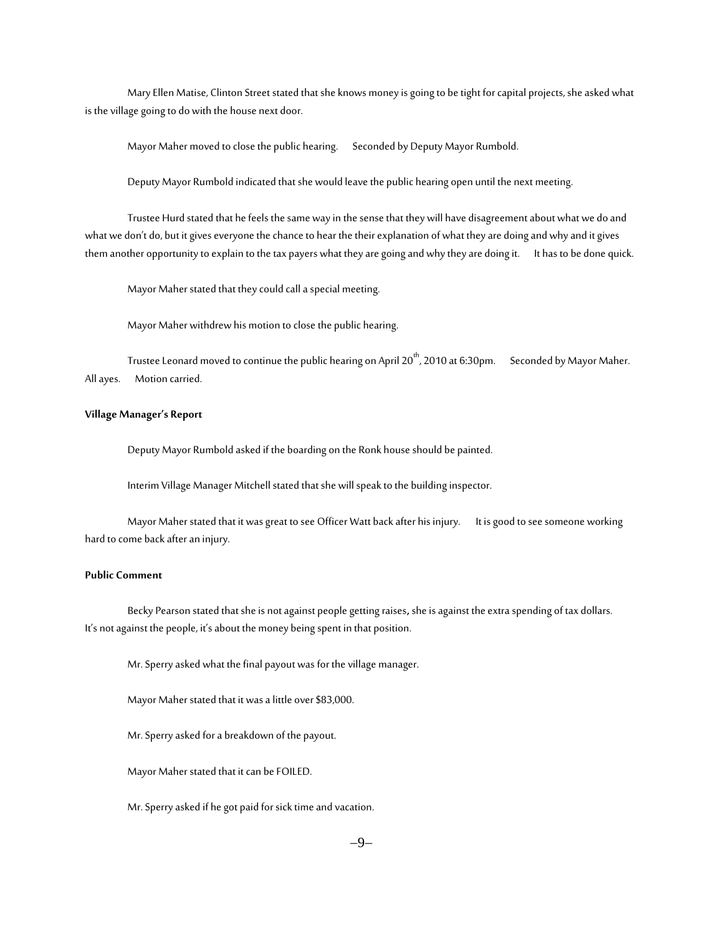Mary Ellen Matise, Clinton Street stated that she knows money is going to be tight for capital projects, she asked what is the village going to do with the house next door.

Mayor Maher moved to close the public hearing. Seconded by Deputy Mayor Rumbold.

Deputy Mayor Rumbold indicated that she would leave the public hearing open until the next meeting.

Trustee Hurd stated that he feels the same way in the sense that they will have disagreement about what we do and what we don't do, but it gives everyone the chance to hear the their explanation of what they are doing and why and it gives them another opportunity to explain to the tax payers what they are going and why they are doing it. It has to be done quick.

Mayor Maher stated that they could call a special meeting.

Mayor Maher withdrew his motion to close the public hearing.

Trustee Leonard moved to continue the public hearing on April 20<sup>th</sup>, 2010 at 6:30pm. Seconded by Mayor Maher. All ayes. Motion carried.

# **Village Manager's Report**

Deputy Mayor Rumbold asked if the boarding on the Ronk house should be painted.

Interim Village Manager Mitchell stated that she will speak to the building inspector.

Mayor Maher stated that it was great to see Officer Watt back after his injury.It is good to see someone working hard to come back after an injury.

#### **Public Comment**

Becky Pearson stated that she is not against people getting raises**,** she is against the extra spending of tax dollars. It's not against the people, it's about the money being spent in that position.

Mr. Sperry asked what the final payout was for the village manager.

Mayor Maher stated that it was a little over \$83,000.

Mr. Sperry asked for a breakdown of the payout.

Mayor Maher stated that it can be FOILED.

Mr. Sperry asked if he got paid for sick time and vacation.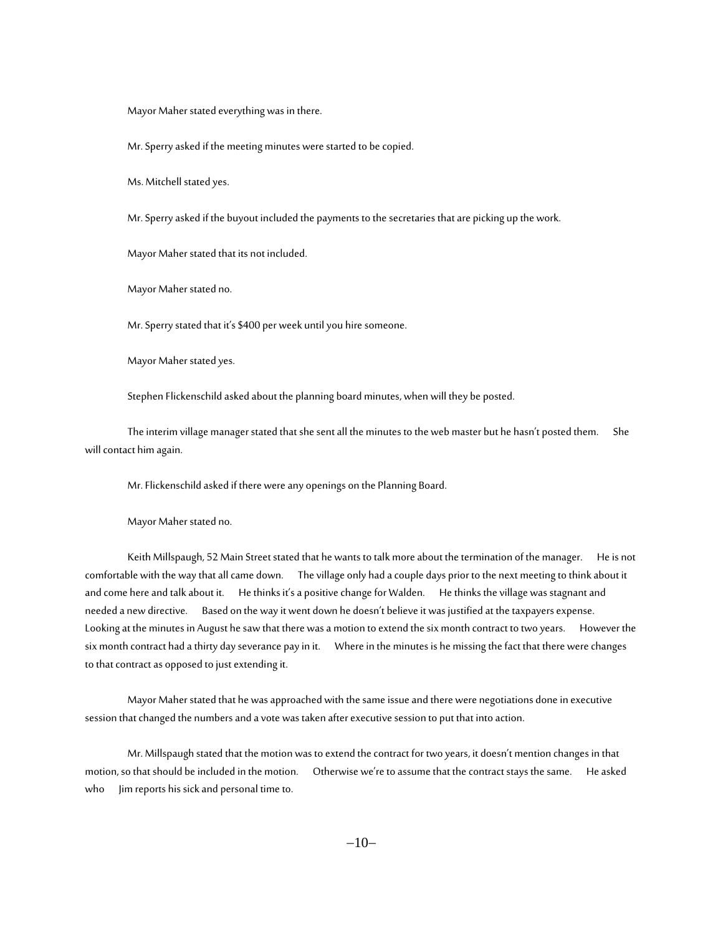Mayor Maher stated everything was in there.

Mr. Sperry asked if the meeting minutes were started to be copied.

Ms. Mitchell stated yes.

Mr. Sperry asked if the buyout included the payments to the secretaries that are picking up the work.

Mayor Maher stated that its not included.

Mayor Maher stated no.

Mr. Sperry stated that it's \$400 per week until you hire someone.

Mayor Maher stated yes.

Stephen Flickenschild asked about the planning board minutes, when will they be posted.

The interim village manager stated that she sent all the minutes to the web master but he hasn't posted them. She will contact him again.

Mr. Flickenschild asked if there were any openings on the Planning Board.

Mayor Maher stated no.

Keith Millspaugh, 52 Main Street stated that he wants to talk more about the termination of the manager. He is not comfortable with the way that all came down. The village only had a couple days prior to the next meeting to think about it and come here and talk about it. He thinks it's a positive change for Walden. He thinks the village was stagnant and needed a new directive. Based on the way it went down he doesn't believe it was justified at the taxpayers expense. Looking at the minutes in August he saw that there was a motion to extend the six month contract to two years. However the six month contract had a thirty day severance pay in it. Where in the minutes is he missing the fact that there were changes to that contract as opposed to just extending it.

Mayor Maher stated that he was approached with the same issue and there were negotiations done in executive session that changed the numbers and a vote was taken after executive session to put that into action.

Mr. Millspaugh stated that the motion was to extend the contract for two years, it doesn't mention changes in that motion, so that should be included in the motion. Otherwise we're to assume that the contract stays the same. He asked who Jim reports his sick and personal time to.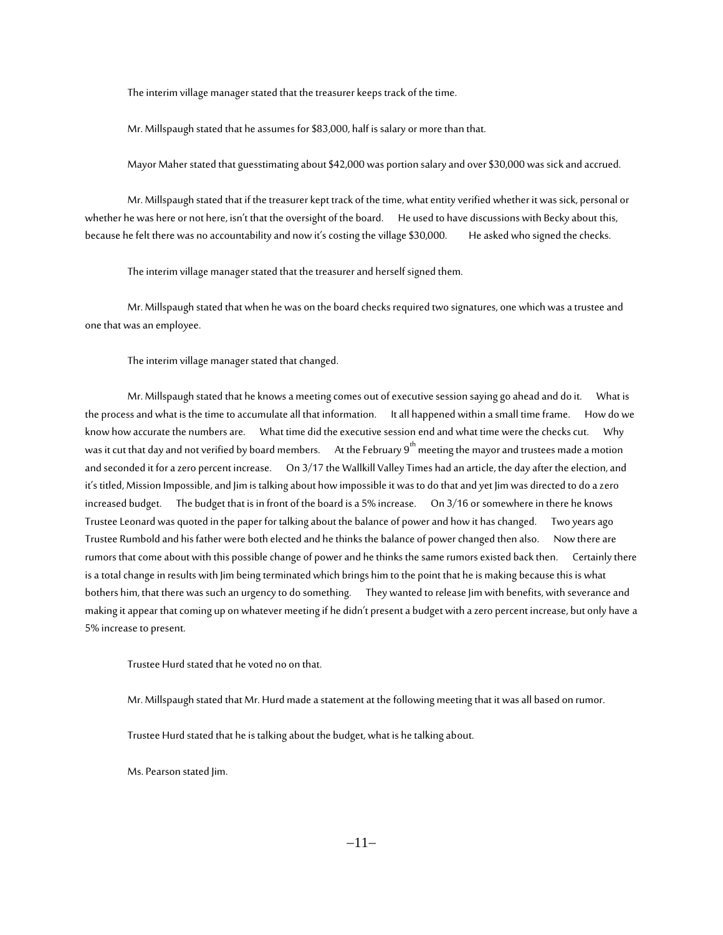The interim village manager stated that the treasurer keeps track of the time.

Mr. Millspaugh stated that he assumes for \$83,000, half is salary or more than that.

Mayor Maher stated that guesstimating about \$42,000 was portion salary and over \$30,000 was sick and accrued.

Mr. Millspaugh stated that if the treasurer kept track of the time, what entity verified whether it was sick, personal or whether he was here or not here, isn't that the oversight of the board. He used to have discussions with Becky about this, because he felt there was no accountability and now it's costing the village \$30,000. He asked who signed the checks.

The interim village manager stated that the treasurer and herself signed them.

Mr. Millspaugh stated that when he was on the board checks required two signatures, one which was a trustee and one that was an employee.

The interim village manager stated that changed.

Mr. Millspaugh stated that he knows a meeting comes out of executive session saying go ahead and do it. What is the process and what is the time to accumulate all that information. It all happened within a small time frame. How do we know how accurate the numbers are. What time did the executive session end and what time were the checks cut. Why was it cut that day and not verified by board members. At the February 9<sup>th</sup> meeting the mayor and trustees made a motion and seconded it for a zero percent increase. On 3/17 the Wallkill Valley Times had an article, the day after the election, and it's titled, Mission Impossible, and Jim is talking about how impossible it was to do that and yet Jim was directed to do a zero increased budget. The budget that is in front of the board is a 5% increase. On 3/16 or somewhere in there he knows Trustee Leonard was quoted in the paper for talking about the balance of power and how it has changed. Two years ago Trustee Rumbold and his father were both elected and he thinks the balance of power changed then also. Now there are rumors that come about with this possible change of power and he thinks the same rumors existed back then. Certainly there is a total change in results with Jim being terminated which brings him to the point that he is making because this is what bothers him, that there was such an urgency to do something. They wanted to release Jim with benefits, with severance and making it appear that coming up on whatever meeting if he didn't present a budget with a zero percent increase, but only have a 5% increase to present.

Trustee Hurd stated that he voted no on that.

Mr. Millspaugh stated that Mr. Hurd made a statement at the following meeting that it was all based on rumor.

Trustee Hurd stated that he is talking about the budget, what is he talking about.

Ms. Pearson stated Jim.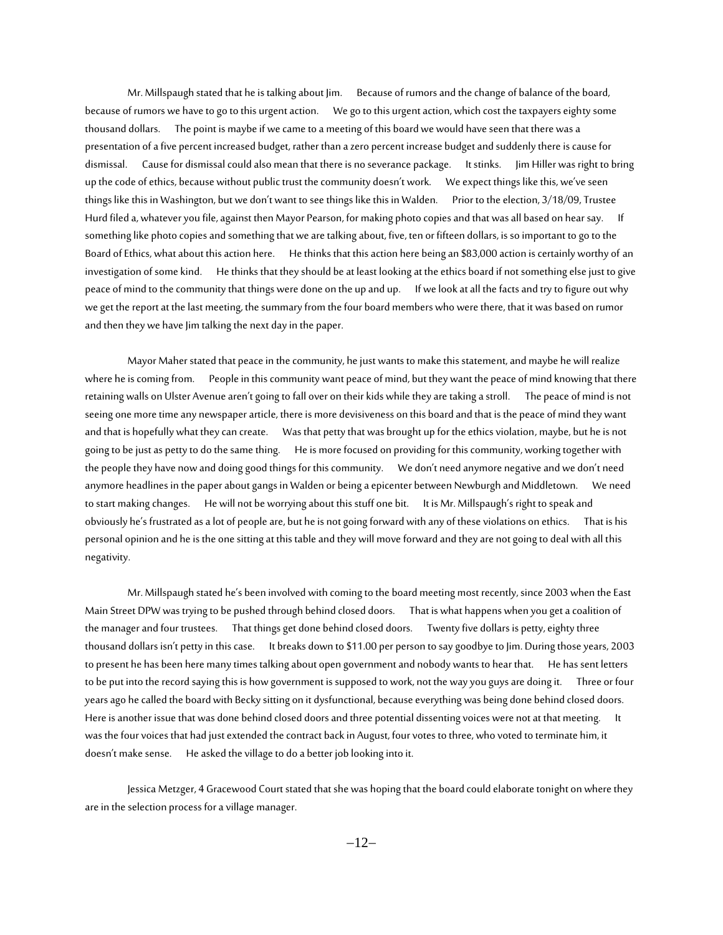Mr. Millspaugh stated that he is talking about Jim. Because of rumors and the change of balance of the board, because of rumors we have to go to this urgent action. We go to this urgent action, which cost the taxpayers eighty some thousand dollars. The point is maybe if we came to a meeting of this board we would have seen that there was a presentation of a five percent increased budget, rather than a zero percent increase budget and suddenly there is cause for dismissal. Cause for dismissal could also mean that there is no severance package. It stinks. Jim Hiller was right to bring up the code of ethics, because without public trust the community doesn't work. We expect things like this, we've seen things like this in Washington, but we don't want to see things like this in Walden. Prior to the election, 3/18/09, Trustee Hurd filed a, whatever you file, against then Mayor Pearson, for making photo copies and that was all based on hear say. If something like photo copies and something that we are talking about, five, ten or fifteen dollars, is so important to go to the Board of Ethics, what about this action here. He thinks that this action here being an \$83,000 action is certainly worthy of an investigation of some kind. He thinks that they should be at least looking at the ethics board if not something else just to give peace of mind to the community that things were done on the up and up. If we look at all the facts and try to figure out why we get the report at thelast meeting, the summary from the four board members who were there, that it was based on rumor and then they we have Jim talking the next day in the paper.

Mayor Maher stated that peace in the community, he just wants to make this statement, and maybe he will realize where he is coming from. People in this community want peace of mind, but they want the peace of mind knowing that there retaining walls on Ulster Avenue aren't going to fall over on their kids while they are taking a stroll. The peace of mind is not seeing one more time any newspaper article, there is more devisiveness on this board and that is the peace of mind they want and that is hopefully what they can create. Was that petty that was brought up for the ethics violation, maybe, but he is not going to be just as petty to do the same thing. He is more focused on providing for this community, working together with the people they have now and doing good things for this community. We don't need anymore negative and we don't need anymore headlines in the paper about gangs in Walden or being a epicenter between Newburgh and Middletown. We need to start making changes. He will not be worrying about this stuff one bit. It is Mr. Millspaugh's right to speak and obviously he's frustrated as a lot of people are, but he is not going forward with any of these violations on ethics. That is his personal opinion and he is the one sitting at this table and they will move forward and they are not going to deal with all this negativity.

Mr. Millspaugh stated he's been involved with coming to the board meeting most recently, since 2003 when the East Main Street DPW was trying to be pushed through behind closed doors. That is what happens when you get a coalition of the manager and four trustees. That things get done behind closed doors. Twenty five dollars is petty, eighty three thousand dollars isn't petty in this case. It breaks down to \$11.00 per person to say goodbye to Jim. During those years, 2003 to present he has been here many times talking about open government and nobody wants to hear that. He has sent letters to be put into the record saying this is how government is supposed to work, not the way you guys are doing it. Three or four years ago he called the board with Becky sitting on it dysfunctional, because everything was being done behind closed doors. Here is another issue that was done behind closed doors and three potential dissenting voices were not at that meeting. It was the four voices that had just extended the contract back in August, four votes to three, who voted to terminate him, it doesn't make sense. He asked the village to do a better job looking into it.

Jessica Metzger, 4 Gracewood Court stated that she was hoping that the board could elaborate tonight on where they are in the selection process for a village manager.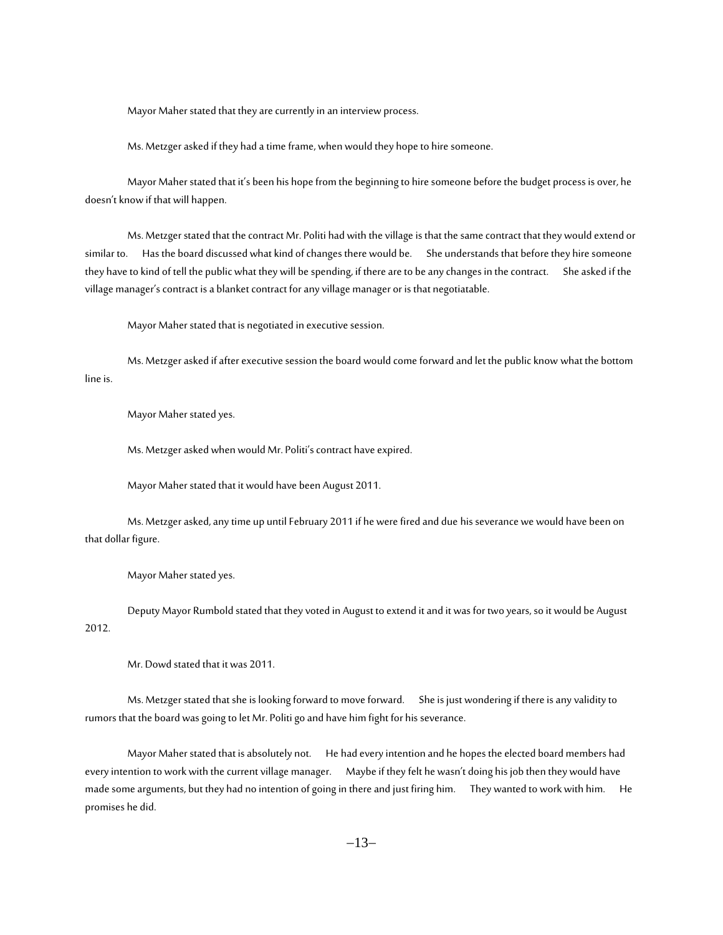Mayor Maher stated that they are currently in an interview process.

Ms. Metzger asked if they had a time frame, when would they hope to hire someone.

Mayor Maher stated that it's been his hope from the beginning to hire someone before the budget process is over, he doesn't know if that will happen.

Ms. Metzger stated that the contract Mr. Politi had with the village is that the same contract that they would extend or similar to. Has the board discussed what kind of changes there would be. She understands that before they hire someone they have to kind of tell the public what they will be spending, if there are to be any changes in the contract. She asked if the village manager's contract is a blanket contract for any village manager or is that negotiatable.

Mayor Maher stated that is negotiated in executive session.

Ms. Metzger asked if after executive session the board would come forward and let the public know what the bottom line is.

Mayor Maher stated yes.

Ms. Metzger asked when would Mr. Politi's contract have expired.

Mayor Maher stated that it would have been August 2011.

Ms. Metzger asked, any time up until February 2011 if he were fired and due his severance we would have been on that dollar figure.

Mayor Maher stated yes.

Deputy Mayor Rumbold stated that they voted in August to extend it and it was for two years, so it would be August 2012.

Mr. Dowd stated that it was 2011.

Ms. Metzger stated that she is looking forward to move forward. She is just wondering if there is any validity to rumors that the board was going to let Mr. Politi go and have him fight for his severance.

Mayor Maher stated that is absolutely not. He had every intention and he hopes the elected board members had every intention to work with the current village manager. Maybe if they felt he wasn't doing his job then they would have made some arguments, but they had no intention of going in there and just firing him. They wanted to work with him. He promises he did.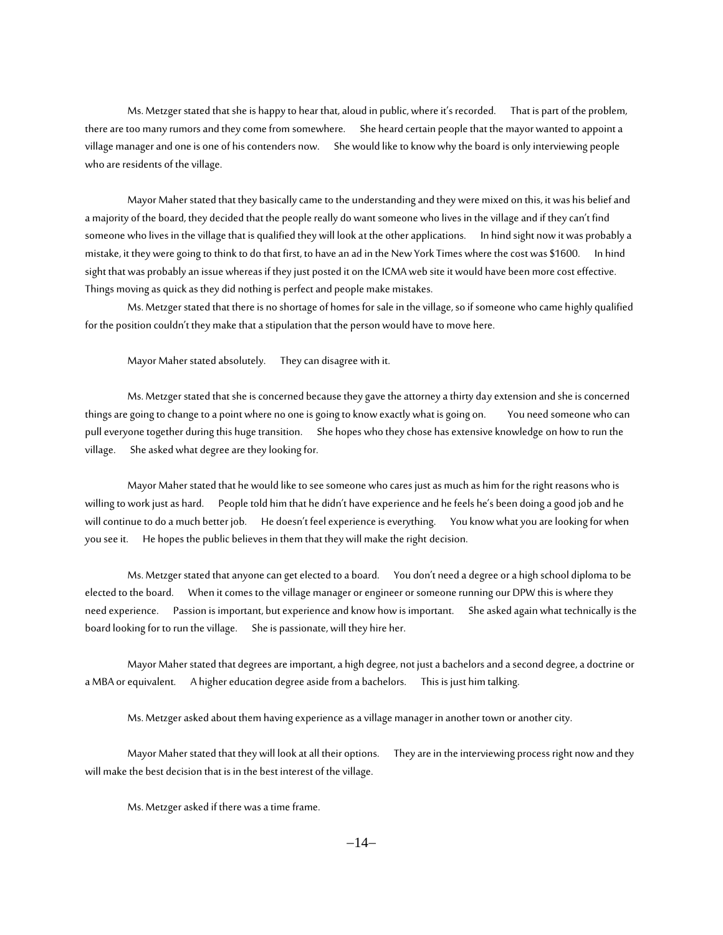Ms. Metzger stated that she is happy to hear that, aloud in public, where it's recorded. That is part of the problem, there are too many rumors and they come from somewhere. She heard certain people that the mayor wanted to appoint a village manager and one is one of his contenders now. She would like to know why the board is only interviewing people who are residents of the village.

Mayor Maher stated that they basically came to the understanding and they were mixed on this, it was his belief and a majority of the board, they decided that the people really do want someone who lives in the village and if they can't find someone who lives in the village that is qualified they will look at the other applications. In hind sight now it was probably a mistake, it they were going to think to do that first, to have an ad in the New York Times where the cost was \$1600. In hind sight that was probably an issue whereas if they just posted it on the ICMA web site it would have been more cost effective. Things moving as quick as they did nothing is perfect and people make mistakes.

Ms. Metzger stated that there is no shortage of homes for sale in the village, so if someone who came highly qualified for the position couldn't they make that a stipulation that the person would have to move here.

Mayor Maher stated absolutely. They can disagree with it.

Ms. Metzger stated that she is concerned because they gave the attorney a thirty day extension and she is concerned things are going to change to a point where no one is going to know exactly what is going on. You need someone who can pull everyone together during this huge transition. She hopes who they chose has extensive knowledge on how to run the village. She asked what degree are they looking for.

Mayor Maher stated that he would like to see someone who cares just as much as him for the right reasons who is willing to work just as hard. People told him that he didn't have experience and he feels he's been doing a good job and he will continue to do a much better job. He doesn't feel experience is everything. You know what you are looking for when you see it. He hopes the public believes in them that they will make the right decision.

Ms. Metzger stated that anyone can get elected to a board. You don't need a degree or a high school diploma to be elected to the board. When it comes to the village manager or engineer or someone running our DPW this is where they need experience. Passion is important, but experience and know how is important. She asked again what technically is the board looking for to run the village. She is passionate, will they hire her.

Mayor Maher stated that degrees are important, a high degree, not just a bachelors and a second degree, a doctrine or a MBA or equivalent. A higher education degree aside from a bachelors. This is just him talking.

Ms. Metzger asked about them having experience as a village manager in another town or another city.

Mayor Maher stated that they will look at all their options. They are in the interviewing process right now and they will make the best decision that is in the best interest of the village.

Ms. Metzger asked if there was a time frame.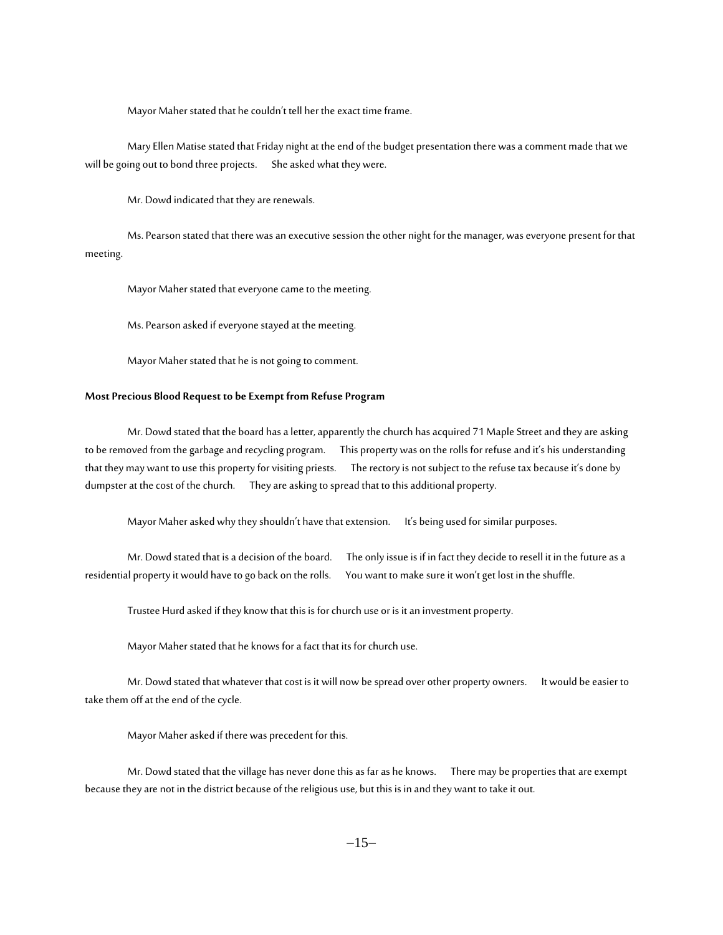Mayor Maher stated that he couldn't tell her the exact time frame.

Mary Ellen Matise stated that Friday night at the end of the budget presentation there was a comment made that we will be going out to bond three projects. She asked what they were.

Mr. Dowd indicated that they are renewals.

Ms. Pearson stated that there was an executive session the other night for the manager, was everyone present for that meeting.

Mayor Maher stated that everyone came to the meeting.

Ms. Pearson asked if everyone stayed at the meeting.

Mayor Maher stated that he is not going to comment.

# **Most Precious Blood Request to be Exempt from Refuse Program**

Mr. Dowd stated that the board has a letter, apparently the church has acquired 71 Maple Street and they are asking to be removed from the garbage and recycling program. This property was on the rolls for refuse and it's his understanding that they may want to use this property for visiting priests. The rectory is not subject to the refuse tax because it's done by dumpster at the cost of the church. They are asking to spread that to this additional property.

Mayor Maher asked why they shouldn't have that extension. It's being used for similar purposes.

Mr. Dowd stated that is a decision of the board. The only issue is if in fact they decide to resell it in the future as a residential property it would have to go back on the rolls. You want to make sure it won't get lost in the shuffle.

Trustee Hurd asked if they know that this is for church use or is it an investment property.

Mayor Maher stated that he knows for a fact that its for church use.

Mr. Dowd stated that whatever that cost is it will now be spread over other property owners. It would be easier to take them off at the end of the cycle.

Mayor Maher asked if there was precedent for this.

Mr. Dowd stated that the village has never done this as far as he knows. There may be properties that are exempt because they are not in the district because of the religious use, but this is in and they want to take it out.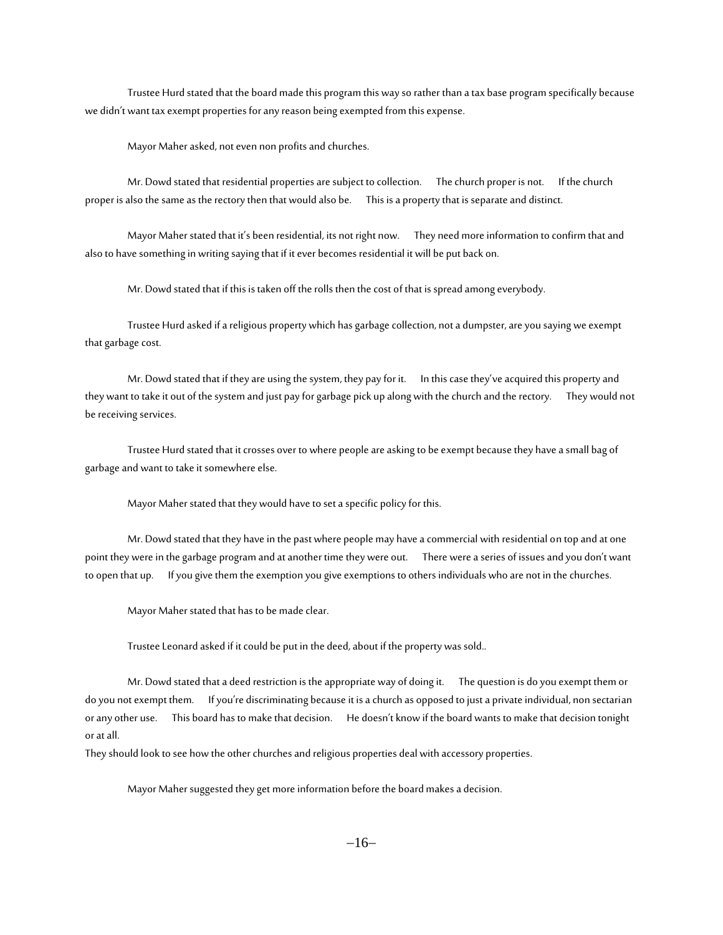Trustee Hurd stated that the board made this program this way so rather than a tax base program specifically because we didn't want tax exempt properties for any reason being exempted from this expense.

Mayor Maher asked, not even non profits and churches.

Mr. Dowd stated that residential properties are subject to collection. The church proper is not. If the church proper is also the same as the rectory then that would also be. This is a property that is separate and distinct.

Mayor Maher stated that it's been residential, its not right now. They need more information to confirm that and also to have something in writing saying that if it ever becomes residential it will be put back on.

Mr. Dowd stated that if this is taken off the rolls then the cost of that is spread among everybody.

Trustee Hurd asked if a religious property which has garbage collection, not a dumpster, are you saying we exempt that garbage cost.

Mr. Dowd stated that if they are using the system, they pay for it. In this case they've acquired this property and they want to take it out of the system and just pay for garbage pick up along with the church and the rectory. They would not be receiving services.

Trustee Hurd stated that it crosses over to where people are asking to be exempt because they have a small bag of garbage and want to take it somewhere else.

Mayor Maher stated that they would have to set a specific policy for this.

Mr. Dowd stated that they have in the past where people may have a commercial with residential on top and at one point they were in the garbage program and at another time they were out. There were a series of issues and you don't want to open that up. If you give them the exemption you give exemptions to others individuals who are not in the churches.

Mayor Maher stated that has to be made clear.

Trustee Leonard asked if it could be put in the deed, about if the property was sold..

Mr. Dowd stated that a deed restriction is the appropriate way of doing it. The question is do you exempt them or do you not exempt them. If you're discriminating because it is a church as opposed to just a private individual, non sectarian or any other use. This board has to make that decision. He doesn't know if the board wants to make that decision tonight or at all.

They should look to see how the other churches and religious properties deal with accessory properties.

Mayor Maher suggested they get more information before the board makes a decision.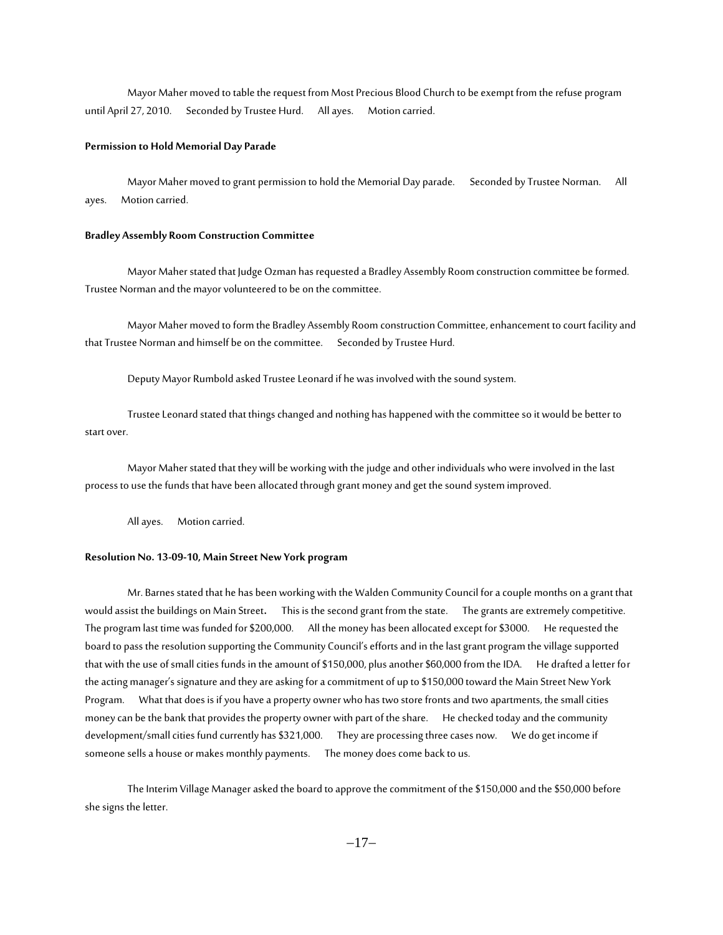Mayor Maher moved to table the request from Most Precious Blood Church to be exempt from the refuse program until April 27, 2010. Seconded by Trustee Hurd. All ayes. Motion carried.

#### **Permission to Hold Memorial Day Parade**

Mayor Maher moved to grant permission to hold the Memorial Day parade.Seconded by Trustee Norman. All ayes. Motion carried.

#### **Bradley Assembly Room Construction Committee**

Mayor Maher stated that Judge Ozman has requested a Bradley Assembly Room construction committee be formed. Trustee Norman and the mayor volunteered to be on the committee.

Mayor Maher moved to form the Bradley Assembly Room construction Committee, enhancement to court facility and that Trustee Norman and himself be on the committee. Seconded by Trustee Hurd.

Deputy Mayor Rumbold asked Trustee Leonard if he was involved with the sound system.

Trustee Leonard stated that things changed and nothing has happened with the committee so it would be better to start over.

Mayor Maher stated that they will be working with the judge and other individuals who were involved in the last process to use the funds that have been allocated through grant money and get the sound system improved.

All ayes. Motion carried.

#### **Resolution No. 13-09-10, Main Street New York program**

Mr. Barnes stated that he has been working with the Walden Community Council for a couple months on a grant that would assist the buildings on Main Street**.** This is the second grant from the state. The grants are extremely competitive. The program last time was funded for \$200,000. All the money has been allocated except for \$3000. He requested the board to pass the resolution supporting the Community Council's efforts and in the last grant program the village supported that with the use of small cities funds in the amount of \$150,000, plus another \$60,000 from the IDA. He drafted a letter for the acting manager's signature and they are asking for a commitment of up to \$150,000 toward the Main Street New York Program. What that does is if you have a property owner who has two store fronts and two apartments, the small cities money can be the bank that provides the property owner with part of the share. Hechecked today and the community development/small cities fund currently has \$321,000. They are processing three cases now. We do get income if someone sells a house or makes monthly payments. The money does come back to us.

The Interim Village Manager asked the board to approve the commitment of the \$150,000 and the \$50,000 before she signs the letter.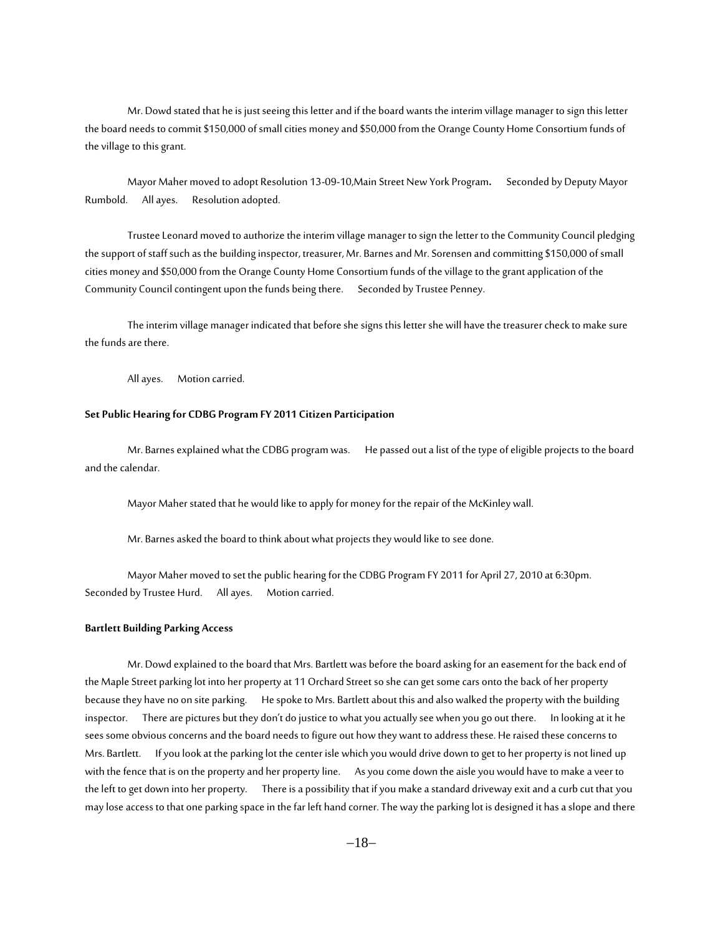Mr. Dowd stated that he is just seeing this letter and if the board wants the interim village manager to sign this letter the board needs to commit \$150,000 of small cities money and \$50,000 from the Orange County Home Consortium funds of the village to this grant.

Mayor Maher moved to adopt Resolution 13-09-10,Main Street New York Program**.** Seconded by Deputy Mayor Rumbold. All ayes. Resolution adopted.

Trustee Leonard moved to authorize the interim village manager to sign the letter to the Community Council pledging the support of staff such as the building inspector, treasurer, Mr. Barnes and Mr. Sorensen and committing \$150,000 of small cities money and \$50,000 from the Orange County Home Consortium funds of the village to the grant application of the Community Council contingent upon the funds being there. Seconded by Trustee Penney.

The interim village manager indicated that before she signs this letter she will have the treasurer check to make sure the funds are there.

All ayes. Motion carried.

## **Set Public Hearing for CDBG Program FY 2011 Citizen Participation**

Mr. Barnes explained what the CDBG program was.He passed out a list of the type of eligible projects to the board and the calendar.

Mayor Maher stated that he would like to apply for money for the repair of the McKinley wall.

Mr. Barnes asked the board to think about what projects they would like to see done.

Mayor Maher moved to set the public hearing for the CDBG Program FY 2011 for April 27, 2010 at 6:30pm. Seconded by Trustee Hurd. All ayes. Motion carried.

# **Bartlett Building Parking Access**

Mr. Dowd explained to the board that Mrs. Bartlett was before the board asking for an easement for the back end of the Maple Street parking lot into her property at 11 Orchard Street so she can get some cars onto the back of her property because they have no on site parking. He spoke to Mrs. Bartlett about this and also walked the property with the building inspector. There are pictures but they don't do justice to what you actually see when you go out there. In looking at it he sees some obvious concerns and the board needs to figure out how they want to address these. He raised these concerns to Mrs. Bartlett. If you look at the parking lot the center isle which you would drive down to get to her property is not lined up with the fence that is on the property and her property line. As you come down the aisle you would have to make a veer to the left to get down into her property. There is a possibility that if you make a standard driveway exit and a curb cut that you may lose access to that one parking space in the far left hand corner. The way the parking lot is designed it has a slope and there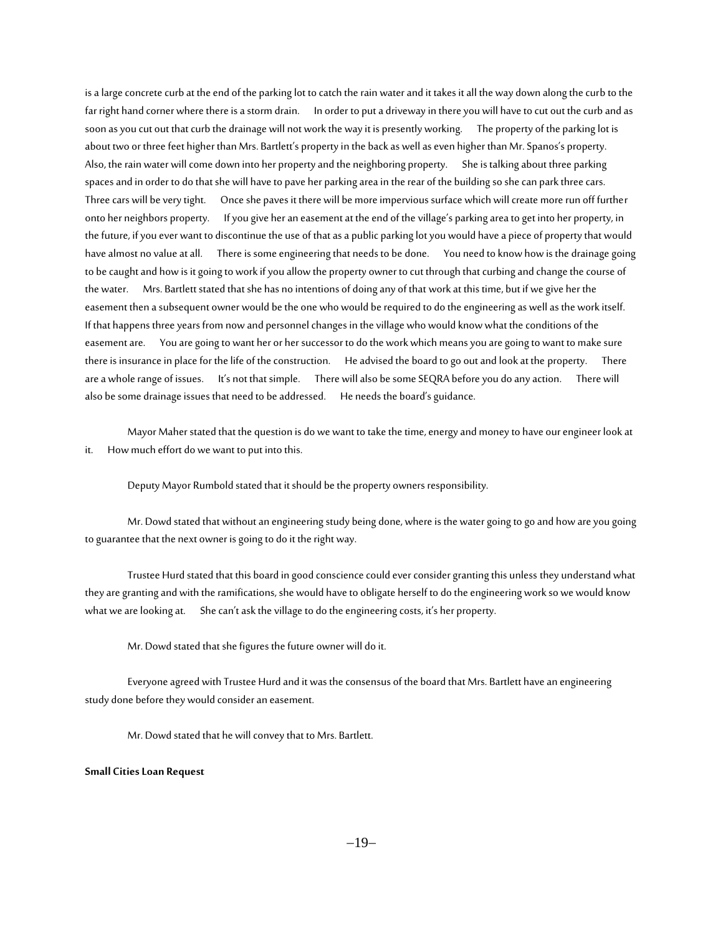is a large concrete curb at the end of the parking lot to catch the rain water and it takes it all the way down along the curb to the far right hand corner where there is a storm drain. In order to put a driveway in there you will have to cut out the curb and as soon as you cut out that curb the drainage will not work the way it is presently working. The property of the parking lot is about two or three feet higher than Mrs. Bartlett's property in the back as well as even higher than Mr. Spanos's property. Also, the rain water will come down into her property and the neighboring property. She is talking about three parking spaces and in order to do that she will have to pave her parking area in the rear of the building so she can park three cars. Three cars will be very tight. Once she paves it there will be more impervious surface which will create more run off further onto her neighbors property. If you give her an easement at the end of the village's parking area to get into her property, in the future, if you ever want to discontinue the use of that as a public parking lot you would have a piece of property that would have almost no value at all. There is some engineering that needs to be done. You need to know how is the drainage going to be caught and how is it going to work if you allow the property owner to cut through that curbing and change the course of the water. Mrs. Bartlett stated that she has no intentions of doing any of that work at this time, but if we give her the easement then a subsequent owner would be the one who would be required to do the engineering as well as the work itself. If that happens three years from now and personnel changes in the village who would know what the conditions of the easement are. You are going to want her or her successor to do the work which means you are going to want to make sure there is insurance in place for the life of the construction. He advised the board to go out and look at the property. There are a whole range of issues. It's not that simple. There will also be some SEQRA before you do any action. There will also be some drainage issues that need to be addressed. He needs the board's guidance.

Mayor Maher stated that the question is do we want to take the time, energy and money to have our engineer look at it. How much effort do we want to put into this.

Deputy Mayor Rumbold stated that it should be the property owners responsibility.

Mr. Dowd stated that without an engineering study being done, where is the water going to go and how are you going to guarantee that the next owner is going to do it the right way.

Trustee Hurd stated that this board in good conscience could ever consider granting this unless they understand what they are granting and with the ramifications, she would have to obligate herself to do the engineering work so we would know what we are looking at. She can't ask the village to do the engineering costs, it's her property.

Mr. Dowd stated that she figures the future owner will do it.

Everyone agreed with Trustee Hurd and it was the consensus of the board that Mrs. Bartlett have an engineering study done before they would consider an easement.

Mr. Dowd stated that he will convey that to Mrs. Bartlett.

#### **Small Cities Loan Request**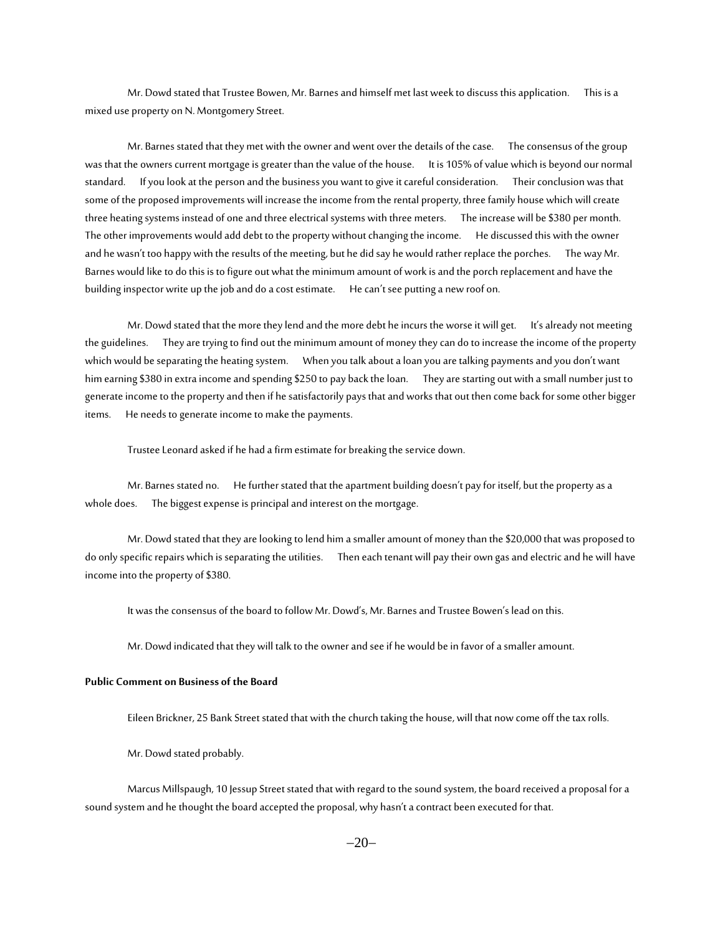Mr. Dowd stated that Trustee Bowen, Mr. Barnes and himself met last week to discuss this application. This is a mixed use property on N. Montgomery Street.

Mr. Barnes stated that they met with the owner and went over the details of the case. The consensus of the group was that the owners current mortgage is greater than the value of the house. It is 105% of value which is beyond our normal standard. If you look at the person and the business you want to give it careful consideration. Their conclusion was that some of the proposed improvements will increase the income from the rental property, three family house which will create three heating systems instead of one and three electrical systems with three meters. The increase will be \$380 per month. The other improvements would add debt to the property without changing the income. He discussed this with the owner and he wasn't too happy with the results of the meeting, but he did say he would rather replace the porches. The way Mr. Barnes would like to do this is to figure out what the minimum amount of work is and the porch replacement and have the building inspector write up the job and do a cost estimate. He can't see putting a new roof on.

Mr. Dowd stated that the more they lend and the more debt he incurs the worse it will get. It's already not meeting the guidelines. They are trying to find out the minimum amount of money they can do to increase the income of the property which would be separating the heating system. When you talk about a loan you are talking payments and you don't want him earning \$380 in extra income and spending \$250 to pay back the loan. They are starting out with a small number just to generate income to the property and then if he satisfactorily pays that and works that out then come back for some other bigger items. He needs to generate income to make the payments.

Trustee Leonard asked if he had a firm estimate for breaking the service down.

Mr. Barnes stated no. He further stated that the apartment building doesn't pay for itself, but the property as a whole does. The biggest expense is principal and interest on the mortgage.

Mr. Dowd stated that they are looking to lend him a smaller amount of money than the \$20,000 that was proposed to do only specific repairs which is separating the utilities. Then each tenant will pay their own gas and electric and he will have income into the property of \$380.

It was the consensus of the board to follow Mr. Dowd's, Mr. Barnes and Trustee Bowen's lead on this.

Mr. Dowd indicated that they will talk to the owner and see if he would be in favor of a smaller amount.

#### **Public Comment on Business of the Board**

Eileen Brickner, 25 Bank Street stated that with the church taking the house, will that now come off the tax rolls.

Mr. Dowd stated probably.

Marcus Millspaugh, 10 Jessup Street stated that with regard to the sound system, the board received a proposal for a sound system and he thought the board accepted the proposal, why hasn't a contract been executed for that.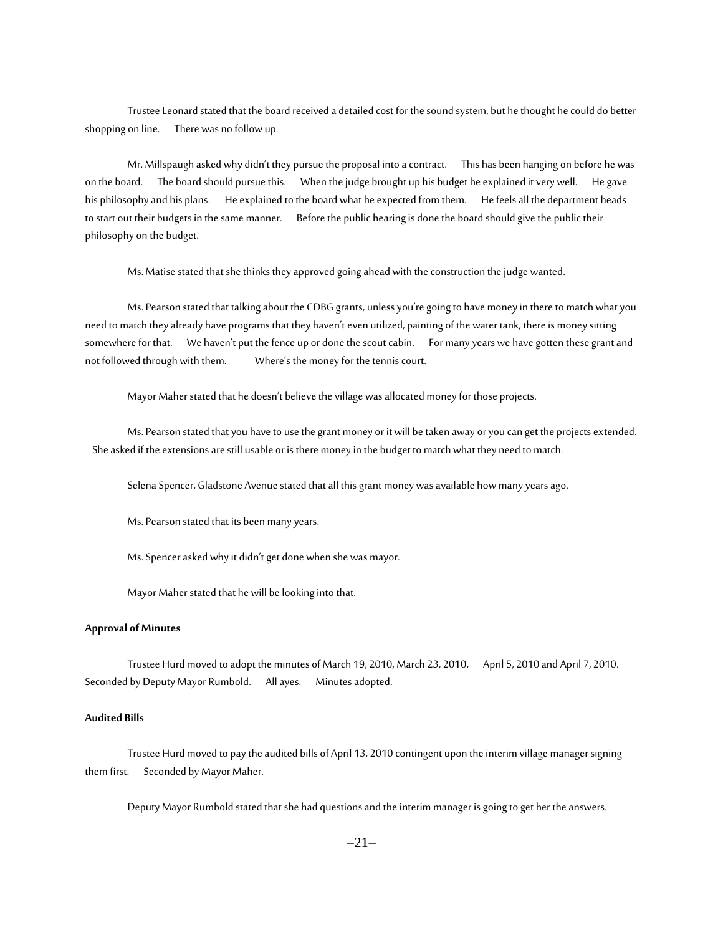Trustee Leonard stated that the board received a detailed cost for the sound system, but he thought he could do better shopping on line. There was no follow up.

Mr. Millspaugh asked why didn't they pursue the proposal into a contract. This has been hanging on before he was on the board. The board should pursue this. When the judge brought up his budget he explained it very well. He gave his philosophy and his plans. He explained to the board what he expected from them. He feels all the department heads to start out their budgets in the same manner. Before the public hearing is done the board should give the public their philosophy on the budget.

Ms. Matise stated that she thinks they approved going ahead with the construction the judge wanted.

Ms. Pearson stated that talking about the CDBG grants, unless you're going to have money in there to match what you need to match they already have programs that they haven't even utilized, painting of the water tank, there is money sitting somewhere for that. We haven't put the fence up or done the scout cabin. For many years we have gotten these grant and not followed through with them. Where's the money for the tennis court.

Mayor Maher stated that he doesn't believe the village was allocated money for those projects.

Ms. Pearson stated that you have to use the grant money or it will be taken away or you can get the projects extended. She asked if the extensions are still usable or is there money in the budget to match what they need to match.

Selena Spencer, Gladstone Avenue stated that all this grant money was available how many years ago.

Ms. Pearson stated that its been many years.

Ms. Spencer asked why it didn't get done when she was mayor.

Mayor Maher stated that he will be looking into that.

# **Approval of Minutes**

Trustee Hurd moved to adopt the minutes of March 19, 2010, March 23, 2010, April 5, 2010 and April 7, 2010. Seconded by Deputy Mayor Rumbold. All ayes. Minutes adopted.

#### **Audited Bills**

Trustee Hurd moved to pay the audited bills of April 13, 2010 contingent upon the interim village manager signing them first. Seconded by Mayor Maher.

Deputy Mayor Rumbold stated that she had questions and the interim manager is going to get her the answers.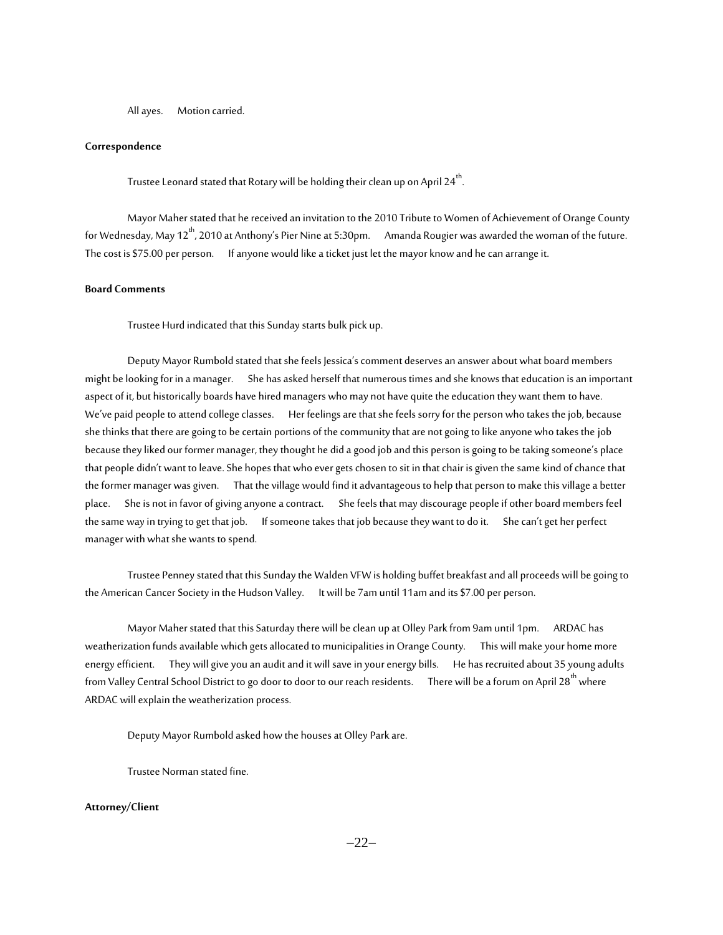All ayes. Motion carried.

#### **Correspondence**

Trustee Leonard stated that Rotary will be holding their clean up on April 24<sup>th</sup>. .

Mayor Maher stated that he received an invitation to the 2010 Tribute to Women of Achievement of Orange County for Wednesday, May 12<sup>th</sup>, 2010 at Anthony's Pier Nine at 5:30pm. Amanda Rougier was awarded the woman of the future. The cost is \$75.00 per person. If anyone would like a ticket just let the mayor know and he can arrange it.

#### **Board Comments**

Trustee Hurd indicated that this Sunday starts bulk pick up.

Deputy Mayor Rumbold stated that she feels Jessica's comment deserves an answer about what board members might be looking for in a manager. She has asked herself that numerous times and she knows that education is an important aspect of it, but historically boards have hired managers who may not have quite the education they want them to have. We've paid people to attend college classes. Her feelings are that she feels sorry for the person who takes the job, because she thinks that there are going to be certain portions of the community that are not going to like anyone who takes the job because they liked our former manager, they thought he did a good job and this person is going to be taking someone's place that people didn't want to leave. She hopes that who ever gets chosen to sit in that chair is given the same kind of chance that the former manager was given. That the village would find it advantageous to help that person to make this village a better place. She is not in favor of giving anyone a contract. She feels that may discourage people if other board members feel the same way in trying to get that job. If someone takes that job because they want to do it. She can't get her perfect manager with what she wants to spend.

Trustee Penney stated that this Sunday the Walden VFW is holding buffet breakfast and all proceeds will be going to the American Cancer Society in the Hudson Valley. It will be 7am until 11am and its \$7.00 per person.

Mayor Maher stated that this Saturday there will be clean up at Olley Park from 9am until 1pm. ARDAC has weatherization funds available which gets allocated to municipalities in Orange County. This will make your home more energy efficient. They will give you an audit and it will save in your energy bills. He has recruited about 35 young adults from Valley Central School District to go door to door to our reach residents. There will be a forum on April 28<sup>th</sup> where ARDAC will explain the weatherization process.

Deputy Mayor Rumbold asked how the houses at Olley Park are.

Trustee Norman stated fine.

# **Attorney/Client**